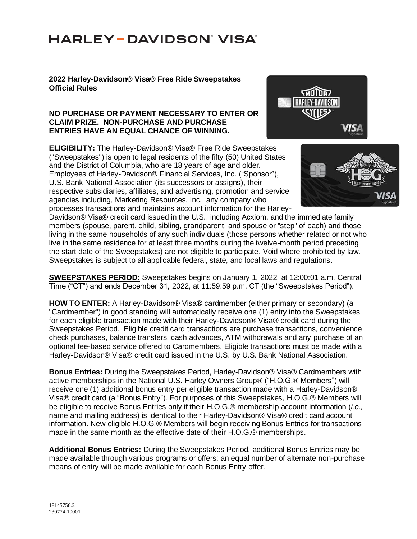### **2022 Harley-Davidson® Visa® Free Ride Sweepstakes Official Rules**

#### **NO PURCHASE OR PAYMENT NECESSARY TO ENTER OR CLAIM PRIZE. NON-PURCHASE AND PURCHASE ENTRIES HAVE AN EQUAL CHANCE OF WINNING.**

**ELIGIBILITY:** The Harley-Davidson® Visa® Free Ride Sweepstakes ("Sweepstakes") is open to legal residents of the fifty (50) United States and the District of Columbia, who are 18 years of age and older. Employees of Harley-Davidson® Financial Services, Inc. ("Sponsor"), U.S. Bank National Association (its successors or assigns), their respective subsidiaries, affiliates, and advertising, promotion and service agencies including, Marketing Resources, Inc., any company who processes transactions and maintains account information for the Harley-





Davidson® Visa® credit card issued in the U.S., including Acxiom, and the immediate family members (spouse, parent, child, sibling, grandparent, and spouse or "step" of each) and those living in the same households of any such individuals (those persons whether related or not who live in the same residence for at least three months during the twelve-month period preceding the start date of the Sweepstakes) are not eligible to participate. Void where prohibited by law. Sweepstakes is subject to all applicable federal, state, and local laws and regulations.

**SWEEPSTAKES PERIOD:** Sweepstakes begins on January 1, 2022, at 12:00:01 a.m. Central Time ("CT") and ends December 31, 2022, at 11:59:59 p.m. CT (the "Sweepstakes Period").

**HOW TO ENTER:** A Harley-Davidson® Visa® cardmember (either primary or secondary) (a "Cardmember") in good standing will automatically receive one (1) entry into the Sweepstakes for each eligible transaction made with their Harley-Davidson® Visa® credit card during the Sweepstakes Period. Eligible credit card transactions are purchase transactions, convenience check purchases, balance transfers, cash advances, ATM withdrawals and any purchase of an optional fee-based service offered to Cardmembers. Eligible transactions must be made with a Harley-Davidson® Visa® credit card issued in the U.S. by U.S. Bank National Association.

**Bonus Entries:** During the Sweepstakes Period, Harley-Davidson® Visa® Cardmembers with active memberships in the National U.S. Harley Owners Group® ("H.O.G.® Members") will receive one (1) additional bonus entry per eligible transaction made with a Harley-Davidson® Visa® credit card (a "Bonus Entry"). For purposes of this Sweepstakes, H.O.G.® Members will be eligible to receive Bonus Entries only if their H.O.G.® membership account information (*i.e.,*  name and mailing address) is identical to their Harley-Davidson® Visa® credit card account information. New eligible H.O.G.® Members will begin receiving Bonus Entries for transactions made in the same month as the effective date of their H.O.G.® memberships.

**Additional Bonus Entries:** During the Sweepstakes Period, additional Bonus Entries may be made available through various programs or offers; an equal number of alternate non-purchase means of entry will be made available for each Bonus Entry offer.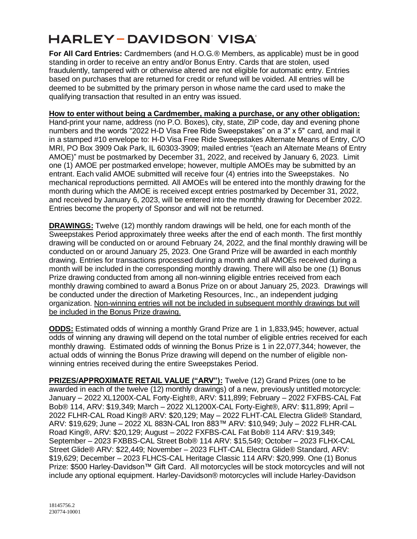**For All Card Entries:** Cardmembers (and H.O.G.® Members, as applicable) must be in good standing in order to receive an entry and/or Bonus Entry. Cards that are stolen, used fraudulently, tampered with or otherwise altered are not eligible for automatic entry. Entries based on purchases that are returned for credit or refund will be voided. All entries will be deemed to be submitted by the primary person in whose name the card used to make the qualifying transaction that resulted in an entry was issued.

### **How to enter without being a Cardmember, making a purchase, or any other obligation:**

Hand-print your name, address (no P.O. Boxes), city, state, ZIP code, day and evening phone numbers and the words "2022 H-D Visa Free Ride Sweepstakes" on a 3" x 5" card, and mail it in a stamped #10 envelope to: H-D Visa Free Ride Sweepstakes Alternate Means of Entry, C/O MRI, PO Box 3909 Oak Park, IL 60303-3909; mailed entries "(each an Alternate Means of Entry AMOE)" must be postmarked by December 31, 2022, and received by January 6, 2023. Limit one (1) AMOE per postmarked envelope; however, multiple AMOEs may be submitted by an entrant. Each valid AMOE submitted will receive four (4) entries into the Sweepstakes. No mechanical reproductions permitted. All AMOEs will be entered into the monthly drawing for the month during which the AMOE is received except entries postmarked by December 31, 2022, and received by January 6, 2023, will be entered into the monthly drawing for December 2022. Entries become the property of Sponsor and will not be returned.

**DRAWINGS:** Twelve (12) monthly random drawings will be held, one for each month of the Sweepstakes Period approximately three weeks after the end of each month. The first monthly drawing will be conducted on or around February 24, 2022, and the final monthly drawing will be conducted on or around January 25, 2023. One Grand Prize will be awarded in each monthly drawing. Entries for transactions processed during a month and all AMOEs received during a month will be included in the corresponding monthly drawing. There will also be one (1) Bonus Prize drawing conducted from among all non-winning eligible entries received from each monthly drawing combined to award a Bonus Prize on or about January 25, 2023. Drawings will be conducted under the direction of Marketing Resources, Inc., an independent judging organization. Non-winning entries will not be included in subsequent monthly drawings but will be included in the Bonus Prize drawing.

**ODDS:** Estimated odds of winning a monthly Grand Prize are 1 in 1,833,945; however, actual odds of winning any drawing will depend on the total number of eligible entries received for each monthly drawing. Estimated odds of winning the Bonus Prize is 1 in 22,077,344; however, the actual odds of winning the Bonus Prize drawing will depend on the number of eligible nonwinning entries received during the entire Sweepstakes Period.

**PRIZES/APPROXIMATE RETAIL VALUE ("ARV"):** Twelve (12) Grand Prizes (one to be awarded in each of the twelve (12) monthly drawings) of a new, previously untitled motorcycle: January – 2022 XL1200X-CAL Forty-Eight®, ARV: \$11,899; February – 2022 FXFBS-CAL Fat Bob® 114, ARV: \$19,349; March – 2022 XL1200X-CAL Forty-Eight®, ARV: \$11,899; April – 2022 FLHR-CAL Road King® ARV: \$20,129; May – 2022 FLHT-CAL Electra Glide® Standard, ARV: \$19,629; June – 2022 XL 883N-CAL Iron 883™ ARV: \$10,949; July – 2022 FLHR-CAL Road King®, ARV: \$20,129; August – 2022 FXFBS-CAL Fat Bob® 114 ARV: \$19,349; September – 2023 FXBBS-CAL Street Bob® 114 ARV: \$15,549; October – 2023 FLHX-CAL Street Glide® ARV: \$22,449; November – 2023 FLHT-CAL Electra Glide® Standard, ARV: \$19,629; December – 2023 FLHCS-CAL Heritage Classic 114 ARV: \$20,999. One (1) Bonus Prize: \$500 Harley-Davidson™ Gift Card. All motorcycles will be stock motorcycles and will not include any optional equipment. Harley-Davidson® motorcycles will include Harley-Davidson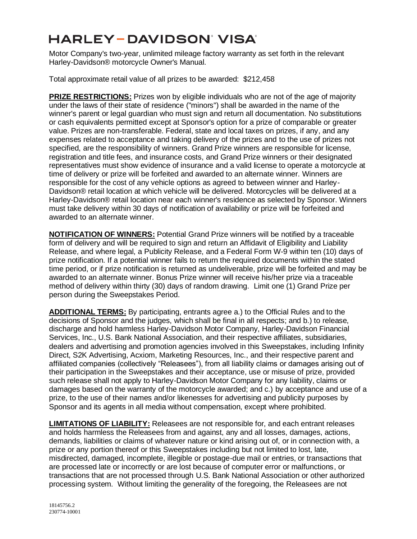Motor Company's two-year, unlimited mileage factory warranty as set forth in the relevant Harley-Davidson® motorcycle Owner's Manual.

Total approximate retail value of all prizes to be awarded: \$212,458

**PRIZE RESTRICTIONS:** Prizes won by eligible individuals who are not of the age of majority under the laws of their state of residence ("minors") shall be awarded in the name of the winner's parent or legal guardian who must sign and return all documentation. No substitutions or cash equivalents permitted except at Sponsor's option for a prize of comparable or greater value. Prizes are non-transferable. Federal, state and local taxes on prizes, if any, and any expenses related to acceptance and taking delivery of the prizes and to the use of prizes not specified, are the responsibility of winners. Grand Prize winners are responsible for license, registration and title fees, and insurance costs, and Grand Prize winners or their designated representatives must show evidence of insurance and a valid license to operate a motorcycle at time of delivery or prize will be forfeited and awarded to an alternate winner. Winners are responsible for the cost of any vehicle options as agreed to between winner and Harley-Davidson® retail location at which vehicle will be delivered. Motorcycles will be delivered at a Harley-Davidson® retail location near each winner's residence as selected by Sponsor. Winners must take delivery within 30 days of notification of availability or prize will be forfeited and awarded to an alternate winner.

**NOTIFICATION OF WINNERS:** Potential Grand Prize winners will be notified by a traceable form of delivery and will be required to sign and return an Affidavit of Eligibility and Liability Release, and where legal, a Publicity Release, and a Federal Form W-9 within ten (10) days of prize notification. If a potential winner fails to return the required documents within the stated time period, or if prize notification is returned as undeliverable, prize will be forfeited and may be awarded to an alternate winner. Bonus Prize winner will receive his/her prize via a traceable method of delivery within thirty (30) days of random drawing. Limit one (1) Grand Prize per person during the Sweepstakes Period.

**ADDITIONAL TERMS:** By participating, entrants agree a.) to the Official Rules and to the decisions of Sponsor and the judges, which shall be final in all respects; and b.) to release, discharge and hold harmless Harley-Davidson Motor Company, Harley-Davidson Financial Services, Inc., U.S. Bank National Association, and their respective affiliates, subsidiaries, dealers and advertising and promotion agencies involved in this Sweepstakes, including Infinity Direct, S2K Advertising, Acxiom, Marketing Resources, Inc., and their respective parent and affiliated companies (collectively "Releasees"), from all liability claims or damages arising out of their participation in the Sweepstakes and their acceptance, use or misuse of prize, provided such release shall not apply to Harley-Davidson Motor Company for any liability, claims or damages based on the warranty of the motorcycle awarded; and c.) by acceptance and use of a prize, to the use of their names and/or likenesses for advertising and publicity purposes by Sponsor and its agents in all media without compensation, except where prohibited.

**LIMITATIONS OF LIABILITY:** Releasees are not responsible for, and each entrant releases and holds harmless the Releasees from and against, any and all losses, damages, actions, demands, liabilities or claims of whatever nature or kind arising out of, or in connection with, a prize or any portion thereof or this Sweepstakes including but not limited to lost, late, misdirected, damaged, incomplete, illegible or postage-due mail or entries, or transactions that are processed late or incorrectly or are lost because of computer error or malfunctions, or transactions that are not processed through U.S. Bank National Association or other authorized processing system. Without limiting the generality of the foregoing, the Releasees are not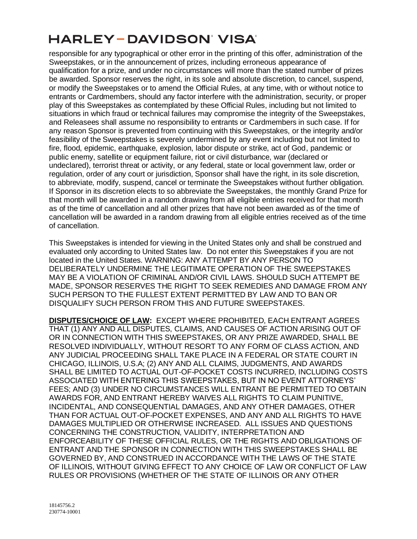responsible for any typographical or other error in the printing of this offer, administration of the Sweepstakes, or in the announcement of prizes, including erroneous appearance of qualification for a prize, and under no circumstances will more than the stated number of prizes be awarded. Sponsor reserves the right, in its sole and absolute discretion, to cancel, suspend, or modify the Sweepstakes or to amend the Official Rules, at any time, with or without notice to entrants or Cardmembers, should any factor interfere with the administration, security, or proper play of this Sweepstakes as contemplated by these Official Rules, including but not limited to situations in which fraud or technical failures may compromise the integrity of the Sweepstakes, and Releasees shall assume no responsibility to entrants or Cardmembers in such case. If for any reason Sponsor is prevented from continuing with this Sweepstakes, or the integrity and/or feasibility of the Sweepstakes is severely undermined by any event including but not limited to fire, flood, epidemic, earthquake, explosion, labor dispute or strike, act of God, pandemic or public enemy, satellite or equipment failure, riot or civil disturbance, war (declared or undeclared), terrorist threat or activity, or any federal, state or local government law, order or regulation, order of any court or jurisdiction, Sponsor shall have the right, in its sole discretion, to abbreviate, modify, suspend, cancel or terminate the Sweepstakes without further obligation. If Sponsor in its discretion elects to so abbreviate the Sweepstakes, the monthly Grand Prize for that month will be awarded in a random drawing from all eligible entries received for that month as of the time of cancellation and all other prizes that have not been awarded as of the time of cancellation will be awarded in a random drawing from all eligible entries received as of the time of cancellation.

This Sweepstakes is intended for viewing in the United States only and shall be construed and evaluated only according to United States law. Do not enter this Sweepstakes if you are not located in the United States. WARNING: ANY ATTEMPT BY ANY PERSON TO DELIBERATELY UNDERMINE THE LEGITIMATE OPERATION OF THE SWEEPSTAKES MAY BE A VIOLATION OF CRIMINAL AND/OR CIVIL LAWS. SHOULD SUCH ATTEMPT BE MADE, SPONSOR RESERVES THE RIGHT TO SEEK REMEDIES AND DAMAGE FROM ANY SUCH PERSON TO THE FULLEST EXTENT PERMITTED BY LAW AND TO BAN OR DISQUALIFY SUCH PERSON FROM THIS AND FUTURE SWEEPSTAKES.

**DISPUTES/CHOICE OF LAW:** EXCEPT WHERE PROHIBITED, EACH ENTRANT AGREES THAT (1) ANY AND ALL DISPUTES, CLAIMS, AND CAUSES OF ACTION ARISING OUT OF OR IN CONNECTION WITH THIS SWEEPSTAKES, OR ANY PRIZE AWARDED, SHALL BE RESOLVED INDIVIDUALLY, WITHOUT RESORT TO ANY FORM OF CLASS ACTION, AND ANY JUDICIAL PROCEEDING SHALL TAKE PLACE IN A FEDERAL OR STATE COURT IN CHICAGO, ILLINOIS, U.S.A; (2) ANY AND ALL CLAIMS, JUDGMENTS, AND AWARDS SHALL BE LIMITED TO ACTUAL OUT-OF-POCKET COSTS INCURRED, INCLUDING COSTS ASSOCIATED WITH ENTERING THIS SWEEPSTAKES, BUT IN NO EVENT ATTORNEYS' FEES; AND (3) UNDER NO CIRCUMSTANCES WILL ENTRANT BE PERMITTED TO OBTAIN AWARDS FOR, AND ENTRANT HEREBY WAIVES ALL RIGHTS TO CLAIM PUNITIVE, INCIDENTAL, AND CONSEQUENTIAL DAMAGES, AND ANY OTHER DAMAGES, OTHER THAN FOR ACTUAL OUT-OF-POCKET EXPENSES, AND ANY AND ALL RIGHTS TO HAVE DAMAGES MULTIPLIED OR OTHERWISE INCREASED. ALL ISSUES AND QUESTIONS CONCERNING THE CONSTRUCTION, VALIDITY, INTERPRETATION AND ENFORCEABILITY OF THESE OFFICIAL RULES, OR THE RIGHTS AND OBLIGATIONS OF ENTRANT AND THE SPONSOR IN CONNECTION WITH THIS SWEEPSTAKES SHALL BE GOVERNED BY, AND CONSTRUED IN ACCORDANCE WITH THE LAWS OF THE STATE OF ILLINOIS, WITHOUT GIVING EFFECT TO ANY CHOICE OF LAW OR CONFLICT OF LAW RULES OR PROVISIONS (WHETHER OF THE STATE OF ILLINOIS OR ANY OTHER